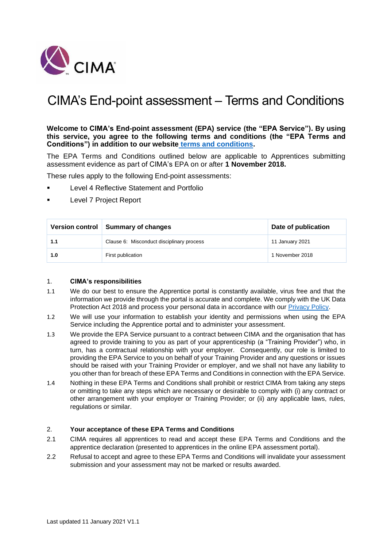

# CIMA's End-point assessment – Terms and Conditions

**Welcome to CIMA's End-point assessment (EPA) service (the "EPA Service"). By using this service, you agree to the following terms and conditions (the "EPA Terms and Conditions") in addition to our website [terms and conditions.](https://www.cimaglobal.com/Terms-Conditions/)** 

The EPA Terms and Conditions outlined below are applicable to Apprentices submitting assessment evidence as part of CIMA's EPA on or after **1 November 2018.**

These rules apply to the following End-point assessments:

- **Level 4 Reflective Statement and Portfolio**
- **Level 7 Project Report**

|     | Version control Summary of changes        | Date of publication |
|-----|-------------------------------------------|---------------------|
| 1.1 | Clause 6: Misconduct disciplinary process | 11 January 2021     |
| 1.0 | First publication                         | 1 November 2018     |

#### 1. **CIMA's responsibilities**

- 1.1 We do our best to ensure the Apprentice portal is constantly available, virus free and that the information we provide through the portal is accurate and complete. We comply with the UK Data Protection Act 2018 and process your personal data in accordance with our [Privacy Policy.](https://www.cimaglobal.com/Privacy-Policy/)
- 1.2 We will use your information to establish your identity and permissions when using the EPA Service including the Apprentice portal and to administer your assessment.
- 1.3 We provide the EPA Service pursuant to a contract between CIMA and the organisation that has agreed to provide training to you as part of your apprenticeship (a "Training Provider") who, in turn, has a contractual relationship with your employer. Consequently, our role is limited to providing the EPA Service to you on behalf of your Training Provider and any questions or issues should be raised with your Training Provider or employer, and we shall not have any liability to you other than for breach of these EPA Terms and Conditions in connection with the EPA Service.
- 1.4 Nothing in these EPA Terms and Conditions shall prohibit or restrict CIMA from taking any steps or omitting to take any steps which are necessary or desirable to comply with (i) any contract or other arrangement with your employer or Training Provider; or (ii) any applicable laws, rules, regulations or similar.

#### 2. **Your acceptance of these EPA Terms and Conditions**

- 2.1 CIMA requires all apprentices to read and accept these EPA Terms and Conditions and the apprentice declaration (presented to apprentices in the online EPA assessment portal).
- 2.2 Refusal to accept and agree to these EPA Terms and Conditions will invalidate your assessment submission and your assessment may not be marked or results awarded.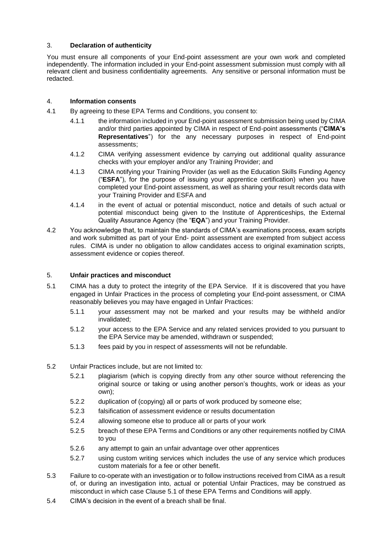# 3. **Declaration of authenticity**

You must ensure all components of your End-point assessment are your own work and completed independently. The information included in your End-point assessment submission must comply with all relevant client and business confidentiality agreements. Any sensitive or personal information must be redacted.

# 4. **Information consents**

- 4.1 By agreeing to these EPA Terms and Conditions, you consent to:
	- 4.1.1 the information included in your End-point assessment submission being used by CIMA and/or third parties appointed by CIMA in respect of End-point assessments ("**CIMA's Representatives**") for the any necessary purposes in respect of End-point assessments;
	- 4.1.2 CIMA verifying assessment evidence by carrying out additional quality assurance checks with your employer and/or any Training Provider; and
	- 4.1.3 CIMA notifying your Training Provider (as well as the Education Skills Funding Agency ("**ESFA**"), for the purpose of issuing your apprentice certification) when you have completed your End-point assessment, as well as sharing your result records data with your Training Provider and ESFA and
	- 4.1.4 in the event of actual or potential misconduct, notice and details of such actual or potential misconduct being given to the Institute of Apprenticeships, the External Quality Assurance Agency (the "**EQA**") and your Training Provider.
- 4.2 You acknowledge that, to maintain the standards of CIMA's examinations process, exam scripts and work submitted as part of your End- point assessment are exempted from subject access rules. CIMA is under no obligation to allow candidates access to original examination scripts, assessment evidence or copies thereof.

# 5. **Unfair practices and misconduct**

- 5.1 CIMA has a duty to protect the integrity of the EPA Service. If it is discovered that you have engaged in Unfair Practices in the process of completing your End-point assessment, or CIMA reasonably believes you may have engaged in Unfair Practices:
	- 5.1.1 your assessment may not be marked and your results may be withheld and/or invalidated;
	- 5.1.2 your access to the EPA Service and any related services provided to you pursuant to the EPA Service may be amended, withdrawn or suspended;
	- 5.1.3 fees paid by you in respect of assessments will not be refundable.
- 5.2 Unfair Practices include, but are not limited to:
	- 5.2.1 plagiarism (which is copying directly from any other source without referencing the original source or taking or using another person's thoughts, work or ideas as your own);
	- 5.2.2 duplication of (copying) all or parts of work produced by someone else;
	- 5.2.3 falsification of assessment evidence or results documentation
	- 5.2.4 allowing someone else to produce all or parts of your work
	- 5.2.5 breach of these EPA Terms and Conditions or any other requirements notified by CIMA to you
	- 5.2.6 any attempt to gain an unfair advantage over other apprentices
	- 5.2.7 using custom writing services which includes the use of any service which produces custom materials for a fee or other benefit.
- 5.3 Failure to co-operate with an investigation or to follow instructions received from CIMA as a result of, or during an investigation into, actual or potential Unfair Practices, may be construed as misconduct in which case Clause 5.1 of these EPA Terms and Conditions will apply.
- 5.4 CIMA's decision in the event of a breach shall be final.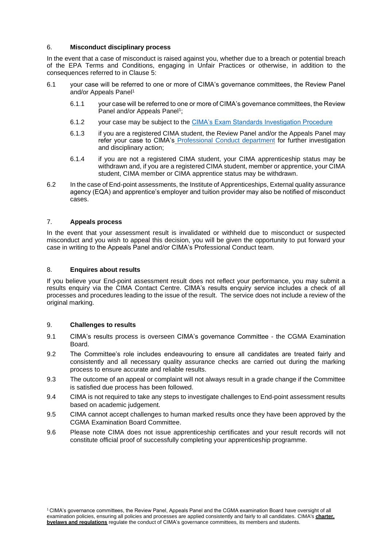#### 6. **Misconduct disciplinary process**

In the event that a case of misconduct is raised against you, whether due to a breach or potential breach of the EPA Terms and Conditions, engaging in Unfair Practices or otherwise, in addition to the consequences referred to in Clause 5:

- 6.1 your case will be referred to one or more of CIMA's governance committees, the Review Panel and/or Appeals Panel<sup>1</sup>
	- 6.1.1 your case will be referred to one or more of CIMA's governance committees, the Review Panel and/or Appeals Panel<sup>1</sup>;
	- 6.1.2 your case may be subject to the [CIMA's Exam Standards Investigation Procedure](https://www.cimaglobal.com/Studying/Exams/Exam-policies/)
	- 6.1.3 if you are a registered CIMA student, the Review Panel and/or the Appeals Panel may refer your case to CIMA's [Professional Conduct department](https://www.cimaglobal.com/Professionalism/Conduct/) for further investigation and disciplinary action;
	- 6.1.4 if you are not a registered CIMA student, your CIMA apprenticeship status may be withdrawn and, if you are a registered CIMA student, member or apprentice, your CIMA student, CIMA member or CIMA apprentice status may be withdrawn.
- 6.2 In the case of End-point assessments, the Institute of Apprenticeships, External quality assurance agency (EQA) and apprentice's employer and tuition provider may also be notified of misconduct cases.

#### 7. **Appeals process**

In the event that your assessment result is invalidated or withheld due to misconduct or suspected misconduct and you wish to appeal this decision, you will be given the opportunity to put forward your case in writing to the Appeals Panel and/or CIMA's Professional Conduct team.

#### 8. **Enquires about results**

If you believe your End-point assessment result does not reflect your performance, you may submit a results enquiry via the CIMA Contact Centre. CIMA's results enquiry service includes a check of all processes and procedures leading to the issue of the result. The service does not include a review of the original marking.

#### 9. **Challenges to results**

- 9.1 CIMA's results process is overseen CIMA's governance Committee the CGMA Examination Board.
- 9.2 The Committee's role includes endeavouring to ensure all candidates are treated fairly and consistently and all necessary quality assurance checks are carried out during the marking process to ensure accurate and reliable results.
- 9.3 The outcome of an appeal or complaint will not always result in a grade change if the Committee is satisfied due process has been followed.
- 9.4 CIMA is not required to take any steps to investigate challenges to End-point assessment results based on academic judgement.
- 9.5 CIMA cannot accept challenges to human marked results once they have been approved by the CGMA Examination Board Committee.
- 9.6 Please note CIMA does not issue apprenticeship certificates and your result records will not constitute official proof of successfully completing your apprenticeship programme.